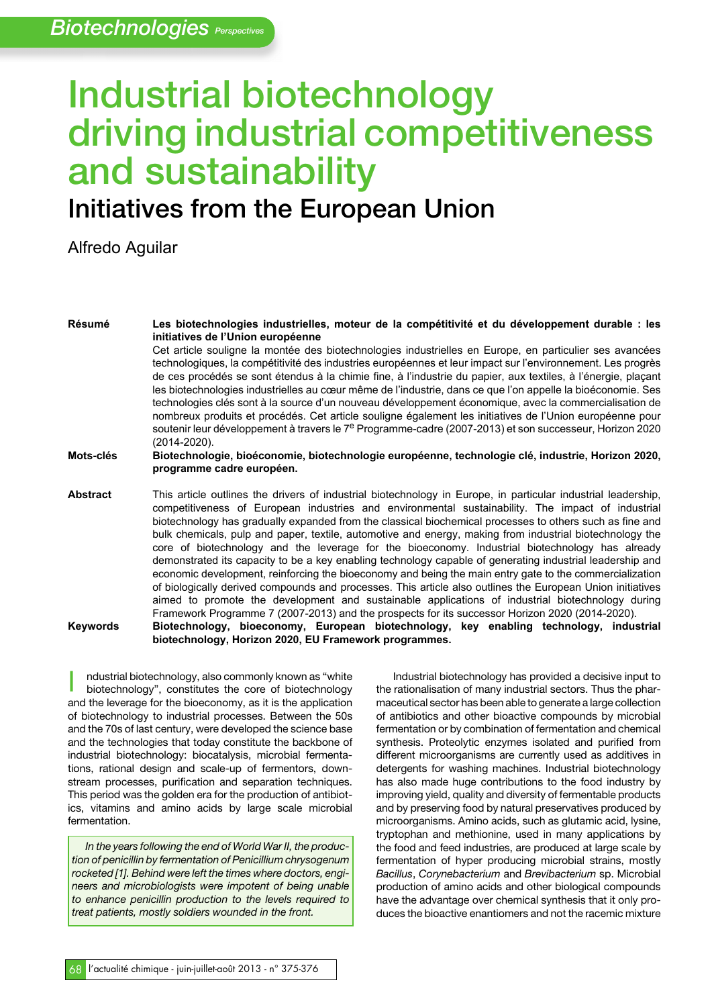# **Industrial biotechnology driving industrial competitiveness and sustainability**

# **Initiatives from the European Union**

Alfredo Aguilar

**Résumé Les biotechnologies industrielles, moteur de la compétitivité et du développement durable : les initiatives de l'Union européenne** Cet article souligne la montée des biotechnologies industrielles en Europe, en particulier ses avancées technologiques, la compétitivité des industries européennes et leur impact sur l'environnement. Les progrès de ces procédés se sont étendus à la chimie fine, à l'industrie du papier, aux textiles, à l'énergie, plaçant les biotechnologies industrielles au cœur même de l'industrie, dans ce que l'on appelle la bioéconomie. Ses technologies clés sont à la source d'un nouveau développement économique, avec la commercialisation de nombreux produits et procédés. Cet article souligne également les initiatives de l'Union européenne pour soutenir leur développement à travers le 7<sup>e</sup> Programme-cadre (2007-2013) et son successeur, Horizon 2020 (2014-2020). **Mots-clés Biotechnologie, bioéconomie, biotechnologie européenne, technologie clé, industrie, Horizon 2020, programme cadre européen. Abstract** This article outlines the drivers of industrial biotechnology in Europe, in particular industrial leadership, competitiveness of European industries and environmental sustainability. The impact of industrial biotechnology has gradually expanded from the classical biochemical processes to others such as fine and bulk chemicals, pulp and paper, textile, automotive and energy, making from industrial biotechnology the core of biotechnology and the leverage for the bioeconomy. Industrial biotechnology has already demonstrated its capacity to be a key enabling technology capable of generating industrial leadership and economic development, reinforcing the bioeconomy and being the main entry gate to the commercialization of biologically derived compounds and processes. This article also outlines the European Union initiatives aimed to promote the development and sustainable applications of industrial biotechnology during

Framework Programme 7 (2007-2013) and the prospects for its successor Horizon 2020 (2014-2020). **Keywords Biotechnology, bioeconomy, European biotechnology, key enabling technology, industrial biotechnology, Horizon 2020, EU Framework programmes.**

ndustrial biotechnology, also commonly known as "white biotechnology", constitutes the core of biotechnology and the leverage for the bioeconomy, as it is the application of biotechnology to industrial processes. Between the 50s and the 70s of last century, were developed the science base and the technologies that today constitute the backbone of industrial biotechnology: biocatalysis, microbial fermentations, rational design and scale-up of fermentors, downstream processes, purification and separation techniques. This period was the golden era for the production of antibiotics, vitamins and amino acids by large scale microbial fermentation. I

*In the years following the end of World War II, the production of penicillin by fermentation of Penicillium chrysogenum rocketed [1]. Behind were left the times where doctors, engineers and microbiologists were impotent of being unable to enhance penicillin production to the levels required to treat patients, mostly soldiers wounded in the front.*

Industrial biotechnology has provided a decisive input to the rationalisation of many industrial sectors. Thus the pharmaceutical sector has been able to generate a large collection of antibiotics and other bioactive compounds by microbial fermentation or by combination of fermentation and chemical synthesis. Proteolytic enzymes isolated and purified from different microorganisms are currently used as additives in detergents for washing machines. Industrial biotechnology has also made huge contributions to the food industry by improving yield, quality and diversity of fermentable products and by preserving food by natural preservatives produced by microorganisms. Amino acids, such as glutamic acid, lysine, tryptophan and methionine, used in many applications by the food and feed industries, are produced at large scale by fermentation of hyper producing microbial strains, mostly *Bacillus*, *Corynebacterium* and *Brevibacterium* sp. Microbial production of amino acids and other biological compounds have the advantage over chemical synthesis that it only produces the bioactive enantiomers and not the racemic mixture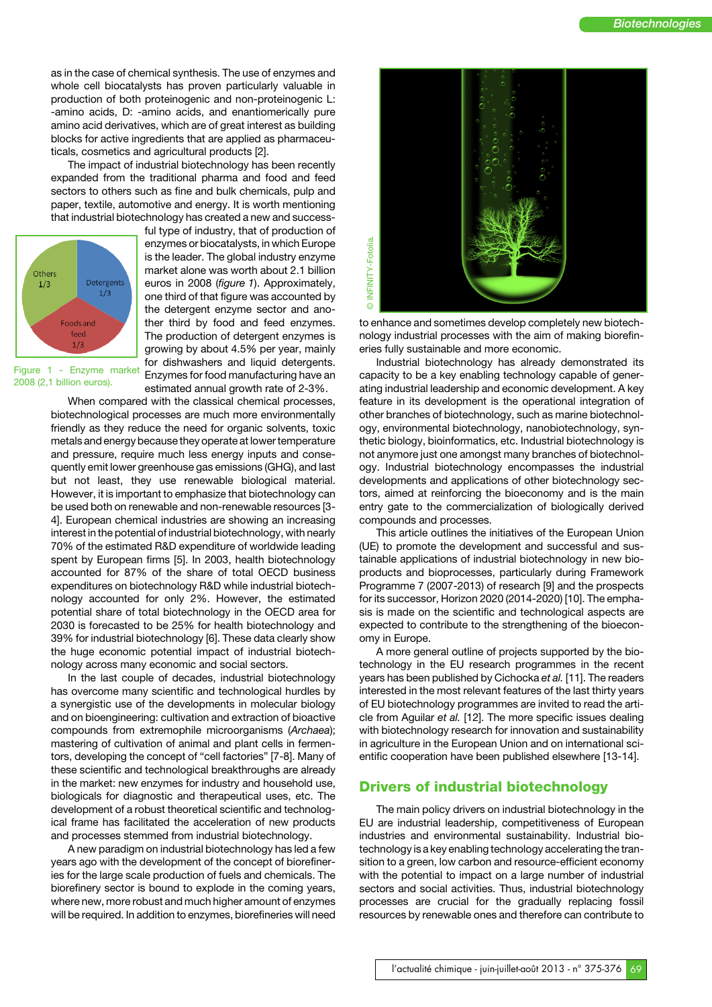as in the case of chemical synthesis. The use of enzymes and whole cell biocatalysts has proven particularly valuable in production of both proteinogenic and non-proteinogenic L: -amino acids, D: -amino acids, and enantiomerically pure amino acid derivatives, which are of great interest as building blocks for active ingredients that are applied as pharmaceuticals, cosmetics and agricultural products [2].

The impact of industrial biotechnology has been recently expanded from the traditional pharma and food and feed sectors to others such as fine and bulk chemicals, pulp and paper, textile, automotive and energy. It is worth mentioning that industrial biotechnology has created a new and success-



ful type of industry, that of production of enzymes or biocatalysts, in which Europe is the leader. The global industry enzyme market alone was worth about 2.1 billion euros in 2008 (*figure 1*). Approximately, one third of that figure was accounted by the detergent enzyme sector and another third by food and feed enzymes. The production of detergent enzymes is growing by about 4.5% per year, mainly for dishwashers and liquid detergents. Enzymes for food manufacturing have an estimated annual growth rate of 2-3%.

Figure 1 - Enzyme market 2008 (2,1 billion euros).

> When compared with the classical chemical processes, biotechnological processes are much more environmentally friendly as they reduce the need for organic solvents, toxic metals and energy because they operate at lower temperature and pressure, require much less energy inputs and consequently emit lower greenhouse gas emissions (GHG), and last but not least, they use renewable biological material. However, it is important to emphasize that biotechnology can be used both on renewable and non-renewable resources [3- 4]. European chemical industries are showing an increasing interest in the potential of industrial biotechnology, with nearly 70% of the estimated R&D expenditure of worldwide leading spent by European firms [5]. In 2003, health biotechnology accounted for 87% of the share of total OECD business expenditures on biotechnology R&D while industrial biotechnology accounted for only 2%. However, the estimated potential share of total biotechnology in the OECD area for 2030 is forecasted to be 25% for health biotechnology and 39% for industrial biotechnology [6]. These data clearly show the huge economic potential impact of industrial biotechnology across many economic and social sectors.

> In the last couple of decades, industrial biotechnology has overcome many scientific and technological hurdles by a synergistic use of the developments in molecular biology and on bioengineering: cultivation and extraction of bioactive compounds from extremophile microorganisms (*Archaea*); mastering of cultivation of animal and plant cells in fermentors, developing the concept of "cell factories" [7-8]. Many of these scientific and technological breakthroughs are already in the market: new enzymes for industry and household use, biologicals for diagnostic and therapeutical uses, etc. The development of a robust theoretical scientific and technological frame has facilitated the acceleration of new products and processes stemmed from industrial biotechnology.

> A new paradigm on industrial biotechnology has led a few years ago with the development of the concept of biorefineries for the large scale production of fuels and chemicals. The biorefinery sector is bound to explode in the coming years, where new, more robust and much higher amount of enzymes will be required. In addition to enzymes, biorefineries will need



to enhance and sometimes develop completely new biotechnology industrial processes with the aim of making biorefineries fully sustainable and more economic.

Industrial biotechnology has already demonstrated its capacity to be a key enabling technology capable of generating industrial leadership and economic development. A key feature in its development is the operational integration of other branches of biotechnology, such as marine biotechnology, environmental biotechnology, nanobiotechnology, synthetic biology, bioinformatics, etc. Industrial biotechnology is not anymore just one amongst many branches of biotechnology. Industrial biotechnology encompasses the industrial developments and applications of other biotechnology sectors, aimed at reinforcing the bioeconomy and is the main entry gate to the commercialization of biologically derived compounds and processes.

This article outlines the initiatives of the European Union (UE) to promote the development and successful and sustainable applications of industrial biotechnology in new bioproducts and bioprocesses, particularly during Framework Programme 7 (2007-2013) of research [9] and the prospects for its successor, Horizon 2020 (2014-2020) [10]. The emphasis is made on the scientific and technological aspects are expected to contribute to the strengthening of the bioeconomy in Europe.

A more general outline of projects supported by the biotechnology in the EU research programmes in the recent years has been published by Cichocka *et al.* [11]. The readers interested in the most relevant features of the last thirty years of EU biotechnology programmes are invited to read the article from Aguilar *et al.* [12]. The more specific issues dealing with biotechnology research for innovation and sustainability in agriculture in the European Union and on international scientific cooperation have been published elsewhere [13-14].

#### **Drivers of industrial biotechnology**

The main policy drivers on industrial biotechnology in the EU are industrial leadership, competitiveness of European industries and environmental sustainability. Industrial biotechnology is a key enabling technology accelerating the transition to a green, low carbon and resource-efficient economy with the potential to impact on a large number of industrial sectors and social activities. Thus, industrial biotechnology processes are crucial for the gradually replacing fossil resources by renewable ones and therefore can contribute to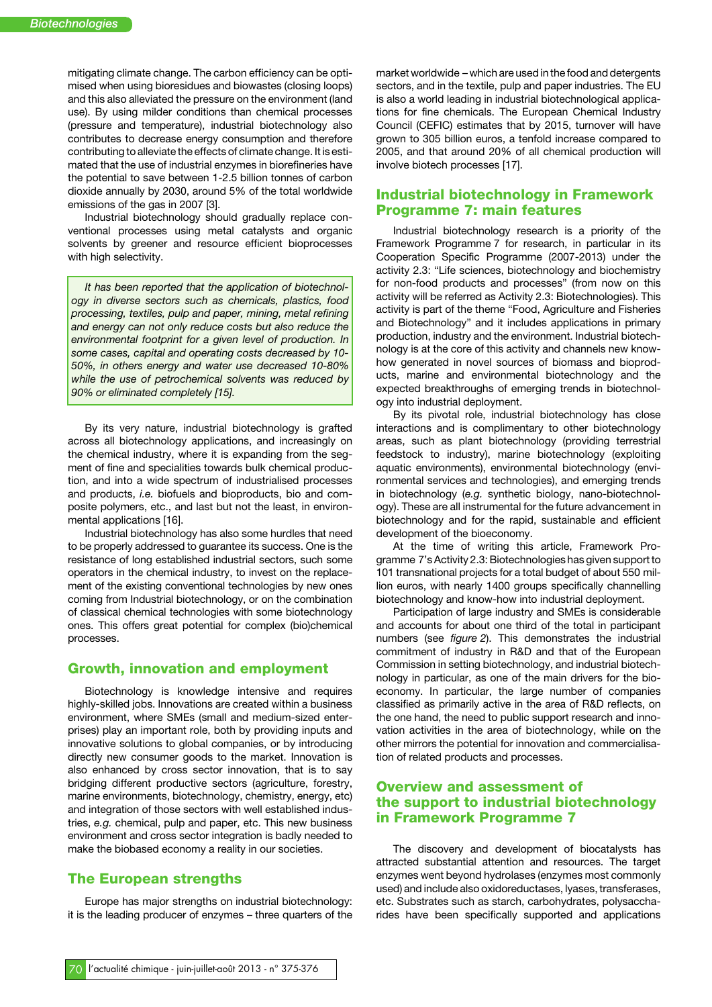mitigating climate change. The carbon efficiency can be optimised when using bioresidues and biowastes (closing loops) and this also alleviated the pressure on the environment (land use). By using milder conditions than chemical processes (pressure and temperature), industrial biotechnology also contributes to decrease energy consumption and therefore contributing to alleviate the effects of climate change. It is estimated that the use of industrial enzymes in biorefineries have the potential to save between 1-2.5 billion tonnes of carbon dioxide annually by 2030, around 5% of the total worldwide emissions of the gas in 2007 [3].

Industrial biotechnology should gradually replace conventional processes using metal catalysts and organic solvents by greener and resource efficient bioprocesses with high selectivity.

*It has been reported that the application of biotechnology in diverse sectors such as chemicals, plastics, food processing, textiles, pulp and paper, mining, metal refining and energy can not only reduce costs but also reduce the environmental footprint for a given level of production. In some cases, capital and operating costs decreased by 10- 50%, in others energy and water use decreased 10-80% while the use of petrochemical solvents was reduced by 90% or eliminated completely [15].*

By its very nature, industrial biotechnology is grafted across all biotechnology applications, and increasingly on the chemical industry, where it is expanding from the segment of fine and specialities towards bulk chemical production, and into a wide spectrum of industrialised processes and products, *i.e.* biofuels and bioproducts, bio and composite polymers, etc., and last but not the least, in environmental applications [16].

Industrial biotechnology has also some hurdles that need to be properly addressed to guarantee its success. One is the resistance of long established industrial sectors, such some operators in the chemical industry, to invest on the replacement of the existing conventional technologies by new ones coming from Industrial biotechnology, or on the combination of classical chemical technologies with some biotechnology ones. This offers great potential for complex (bio)chemical processes.

#### **Growth, innovation and employment**

Biotechnology is knowledge intensive and requires highly-skilled jobs. Innovations are created within a business environment, where SMEs (small and medium-sized enterprises) play an important role, both by providing inputs and innovative solutions to global companies, or by introducing directly new consumer goods to the market. Innovation is also enhanced by cross sector innovation, that is to say bridging different productive sectors (agriculture, forestry, marine environments, biotechnology, chemistry, energy, etc) and integration of those sectors with well established industries, *e.g.* chemical, pulp and paper, etc. This new business environment and cross sector integration is badly needed to make the biobased economy a reality in our societies.

### **The European strengths**

Europe has major strengths on industrial biotechnology: it is the leading producer of enzymes – three quarters of the market worldwide – which are used in thefood and detergents sectors, and in the textile, pulp and paper industries. The EU is also a world leading in industrial biotechnological applications for fine chemicals. The European Chemical Industry Council (CEFIC) estimates that by 2015, turnover will have grown to 305 billion euros, a tenfold increase compared to 2005, and that around 20% of all chemical production will involve biotech processes [17].

#### **Industrial biotechnology in Framework Programme 7: main features**

Industrial biotechnology research is a priority of the Framework Programme 7 for research, in particular in its Cooperation Specific Programme (2007-2013) under the activity 2.3: "Life sciences, biotechnology and biochemistry for non-food products and processes" (from now on this activity will be referred as Activity 2.3: Biotechnologies). This activity is part of the theme "Food, Agriculture and Fisheries and Biotechnology" and it includes applications in primary production, industry and the environment. Industrial biotechnology is at the core of this activity and channels new knowhow generated in novel sources of biomass and bioproducts, marine and environmental biotechnology and the expected breakthroughs of emerging trends in biotechnology into industrial deployment.

By its pivotal role, industrial biotechnology has close interactions and is complimentary to other biotechnology areas, such as plant biotechnology (providing terrestrial feedstock to industry), marine biotechnology (exploiting aquatic environments), environmental biotechnology (environmental services and technologies), and emerging trends in biotechnology (*e.g.* synthetic biology, nano-biotechnology). These are all instrumental for the future advancement in biotechnology and for the rapid, sustainable and efficient development of the bioeconomy.

At the time of writing this article, Framework Programme 7's Activity 2.3: Biotechnologies has given support to 101 transnational projects for a total budget of about 550 million euros, with nearly 1400 groups specifically channelling biotechnology and know-how into industrial deployment.

Participation of large industry and SMEs is considerable and accounts for about one third of the total in participant numbers (see *figure 2*). This demonstrates the industrial commitment of industry in R&D and that of the European Commission in setting biotechnology, and industrial biotechnology in particular, as one of the main drivers for the bioeconomy. In particular, the large number of companies classified as primarily active in the area of R&D reflects, on the one hand, the need to public support research and innovation activities in the area of biotechnology, while on the other mirrors the potential for innovation and commercialisation of related products and processes.

# **Overview and assessment of the support to industrial biotechnology in Framework Programme 7**

The discovery and development of biocatalysts has attracted substantial attention and resources. The target enzymes went beyond hydrolases (enzymes most commonly used) and include also oxidoreductases, lyases, transferases, etc. Substrates such as starch, carbohydrates, polysaccharides have been specifically supported and applications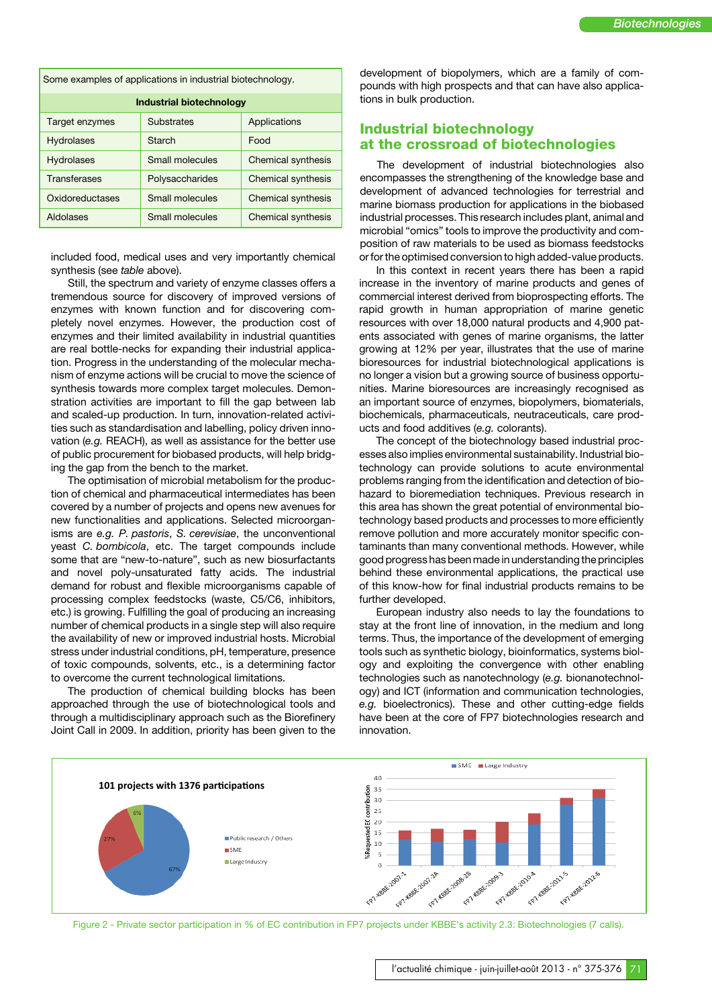Some examples of applications in industrial biotechnology.

| <b>Industrial biotechnology</b> |                 |                           |
|---------------------------------|-----------------|---------------------------|
| Target enzymes                  | Substrates      | Applications              |
| <b>Hydrolases</b>               | Starch          | Food                      |
| <b>Hydrolases</b>               | Small molecules | Chemical synthesis        |
| Transferases                    | Polysaccharides | Chemical synthesis        |
| Oxidoreductases                 | Small molecules | <b>Chemical synthesis</b> |
| Aldolases                       | Small molecules | <b>Chemical synthesis</b> |

included food, medical uses and very importantly chemical synthesis (see *table* above).

Still, the spectrum and variety of enzyme classes offers a tremendous source for discovery of improved versions of enzymes with known function and for discovering completely novel enzymes. However, the production cost of enzymes and their limited availability in industrial quantities are real bottle-necks for expanding their industrial application. Progress in the understanding of the molecular mechanism of enzyme actions will be crucial to move the science of synthesis towards more complex target molecules. Demonstration activities are important to fill the gap between lab and scaled-up production. In turn, innovation-related activities such as standardisation and labelling, policy driven innovation (*e.g.* REACH), as well as assistance for the better use of public procurement for biobased products, will help bridging the gap from the bench to the market.

The optimisation of microbial metabolism for the production of chemical and pharmaceutical intermediates has been covered by a number of projects and opens new avenues for new functionalities and applications. Selected microorganisms are *e.g. P. pastoris*, *S. cerevisiae*, the unconventional yeast *C. bombicola*, etc. The target compounds include some that are "new-to-nature", such as new biosurfactants and novel poly-unsaturated fatty acids. The industrial demand for robust and flexible microorganisms capable of processing complex feedstocks (waste, C5/C6, inhibitors, etc.) is growing. Fulfilling the goal of producing an increasing number of chemical products in a single step will also require the availability of new or improved industrial hosts. Microbial stress under industrial conditions, pH, temperature, presence of toxic compounds, solvents, etc., is a determining factor to overcome the current technological limitations.

The production of chemical building blocks has been approached through the use of biotechnological tools and through a multidisciplinary approach such as the Biorefinery Joint Call in 2009. In addition, priority has been given to the

development of biopolymers, which are a family of compounds with high prospects and that can have also applications in bulk production.

# **Industrial biotechnology at the crossroad of biotechnologies**

The development of industrial biotechnologies also encompasses the strengthening of the knowledge base and development of advanced technologies for terrestrial and marine biomass production for applications in the biobased industrial processes. This research includes plant, animal and microbial "omics" tools to improve the productivity and composition of raw materials to be used as biomass feedstocks or for the optimised conversion to high added-value products.

In this context in recent years there has been a rapid increase in the inventory of marine products and genes of commercial interest derived from bioprospecting efforts. The rapid growth in human appropriation of marine genetic resources with over 18,000 natural products and 4,900 patents associated with genes of marine organisms, the latter growing at 12% per year, illustrates that the use of marine bioresources for industrial biotechnological applications is no longer a vision but a growing source of business opportunities. Marine bioresources are increasingly recognised as an important source of enzymes, biopolymers, biomaterials, biochemicals, pharmaceuticals, neutraceuticals, care products and food additives (*e.g.* colorants).

The concept of the biotechnology based industrial processes also implies environmental sustainability. Industrial biotechnology can provide solutions to acute environmental problems ranging from the identification and detection of biohazard to bioremediation techniques. Previous research in this area has shown the great potential of environmental biotechnology based products and processes to more efficiently remove pollution and more accurately monitor specific contaminants than many conventional methods. However, while good progress has been made in understanding the principles behind these environmental applications, the practical use of this know-how for final industrial products remains to be further developed.

European industry also needs to lay the foundations to stay at the front line of innovation, in the medium and long terms. Thus, the importance of the development of emerging tools such as synthetic biology, bioinformatics, systems biology and exploiting the convergence with other enabling technologies such as nanotechnology (*e.g.* bionanotechnology) and ICT (information and communication technologies, *e.g.* bioelectronics). These and other cutting-edge fields have been at the core of FP7 biotechnologies research and innovation.



Figure 2 - Private sector participation in % of EC contribution in FP7 projects under KBBE's activity 2.3: Biotechnologies (7 calls).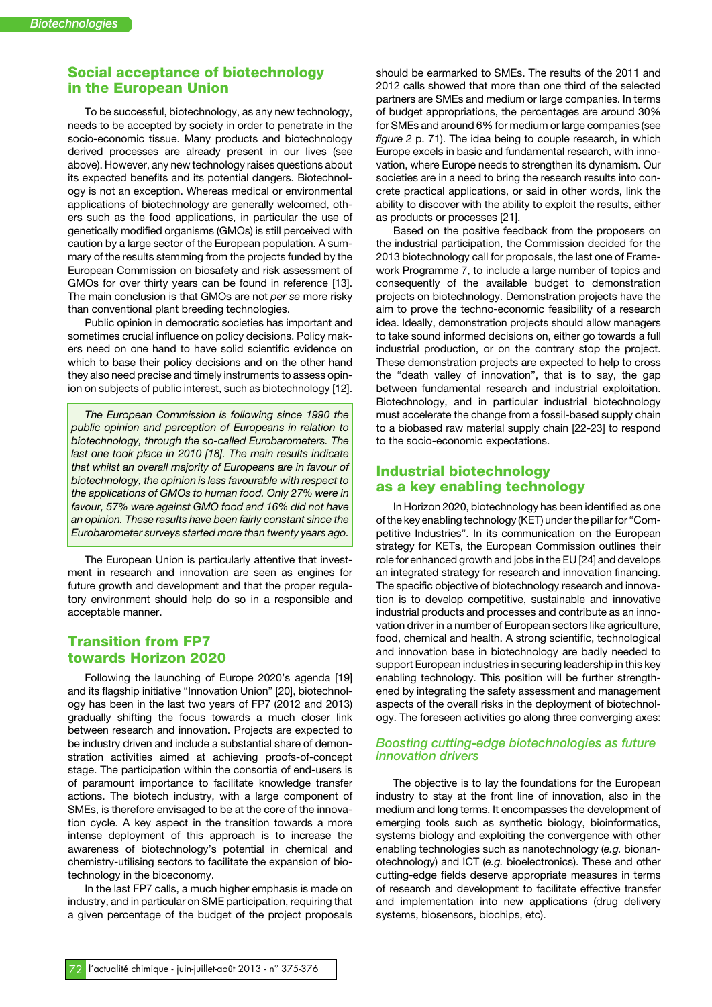# **Social acceptance of biotechnology in the European Union**

To be successful, biotechnology, as any new technology, needs to be accepted by society in order to penetrate in the socio-economic tissue. Many products and biotechnology derived processes are already present in our lives (see above). However, any new technology raises questions about its expected benefits and its potential dangers. Biotechnology is not an exception. Whereas medical or environmental applications of biotechnology are generally welcomed, others such as the food applications, in particular the use of genetically modified organisms (GMOs) is still perceived with caution by a large sector of the European population. A summary of the results stemming from the projects funded by the European Commission on biosafety and risk assessment of GMOs for over thirty years can be found in reference [13]. The main conclusion is that GMOs are not *per se* more risky than conventional plant breeding technologies.

Public opinion in democratic societies has important and sometimes crucial influence on policy decisions. Policy makers need on one hand to have solid scientific evidence on which to base their policy decisions and on the other hand they also need precise and timely instruments to assess opinion on subjects of public interest, such as biotechnology [12].

*The European Commission is following since 1990 the public opinion and perception of Europeans in relation to biotechnology, through the so-called Eurobarometers. The last one took place in 2010 [18]. The main results indicate that whilst an overall majority of Europeans are in favour of biotechnology, the opinion is less favourable with respect to the applications of GMOs to human food. Only 27% were in favour, 57% were against GMO food and 16% did not have an opinion. These results have been fairly constant since the Eurobarometer surveys started more than twenty years ago.*

The European Union is particularly attentive that investment in research and innovation are seen as engines for future growth and development and that the proper regulatory environment should help do so in a responsible and acceptable manner.

### **Transition from FP7 towards Horizon 2020**

Following the launching of Europe 2020's agenda [19] and its flagship initiative "Innovation Union" [20], biotechnology has been in the last two years of FP7 (2012 and 2013) gradually shifting the focus towards a much closer link between research and innovation. Projects are expected to be industry driven and include a substantial share of demonstration activities aimed at achieving proofs-of-concept stage. The participation within the consortia of end-users is of paramount importance to facilitate knowledge transfer actions. The biotech industry, with a large component of SMEs, is therefore envisaged to be at the core of the innovation cycle. A key aspect in the transition towards a more intense deployment of this approach is to increase the awareness of biotechnology's potential in chemical and chemistry-utilising sectors to facilitate the expansion of biotechnology in the bioeconomy.

In the last FP7 calls, a much higher emphasis is made on industry, and in particular on SME participation, requiring that a given percentage of the budget of the project proposals should be earmarked to SMEs. The results of the 2011 and 2012 calls showed that more than one third of the selected partners are SMEs and medium or large companies. In terms of budget appropriations, the percentages are around 30% for SMEs and around 6% for medium or large companies (see *figure 2* p. 71). The idea being to couple research, in which Europe excels in basic and fundamental research, with innovation, where Europe needs to strengthen its dynamism. Our societies are in a need to bring the research results into concrete practical applications, or said in other words, link the ability to discover with the ability to exploit the results, either as products or processes [21].

Based on the positive feedback from the proposers on the industrial participation, the Commission decided for the 2013 biotechnology call for proposals, the last one of Framework Programme 7, to include a large number of topics and consequently of the available budget to demonstration projects on biotechnology. Demonstration projects have the aim to prove the techno-economic feasibility of a research idea. Ideally, demonstration projects should allow managers to take sound informed decisions on, either go towards a full industrial production, or on the contrary stop the project. These demonstration projects are expected to help to cross the "death valley of innovation", that is to say, the gap between fundamental research and industrial exploitation. Biotechnology, and in particular industrial biotechnology must accelerate the change from a fossil-based supply chain to a biobased raw material supply chain [22-23] to respond to the socio-economic expectations.

#### **Industrial biotechnology as a key enabling technology**

In Horizon 2020, biotechnology has been identified as one of the key enabling technology (KET) under the pillarfor "Competitive Industries". In its communication on the European strategy for KETs, the European Commission outlines their role for enhanced growth and jobs in the EU [24] and develops an integrated strategy for research and innovation financing. The specific objective of biotechnology research and innovation is to develop competitive, sustainable and innovative industrial products and processes and contribute as an innovation driver in a number of European sectors like agriculture, food, chemical and health. A strong scientific, technological and innovation base in biotechnology are badly needed to support European industries in securing leadership in this key enabling technology. This position will be further strengthened by integrating the safety assessment and management aspects of the overall risks in the deployment of biotechnology. The foreseen activities go along three converging axes:

#### *Boosting cutting-edge biotechnologies as future innovation drivers*

The objective is to lay the foundations for the European industry to stay at the front line of innovation, also in the medium and long terms. It encompasses the development of emerging tools such as synthetic biology, bioinformatics, systems biology and exploiting the convergence with other enabling technologies such as nanotechnology (*e.g.* bionanotechnology) and ICT (*e.g.* bioelectronics). These and other cutting-edge fields deserve appropriate measures in terms of research and development to facilitate effective transfer and implementation into new applications (drug delivery systems, biosensors, biochips, etc).